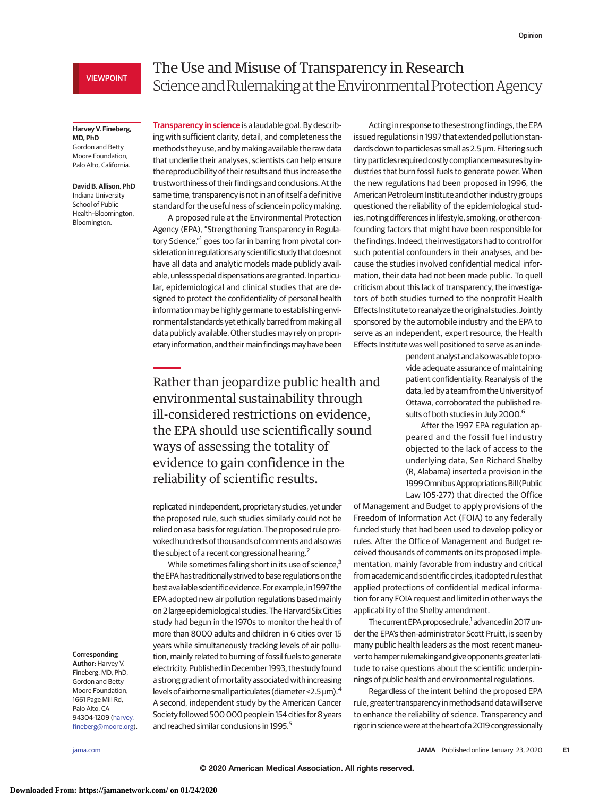## VIEWPOINT

# The Use and Misuse of Transparency in Research Science and Rulemaking at the Environmental Protection Agency

#### **Harvey V. Fineberg, MD, PhD** Gordon and Betty

Moore Foundation, Palo Alto, California.

**David B. Allison, PhD** Indiana University School of Public Health–Bloomington, Bloomington.

**Transparency in science** is a laudable goal. By describing with sufficient clarity, detail, and completeness the methods they use, and by making available the raw data that underlie their analyses, scientists can help ensure the reproducibility of their results and thus increase the trustworthiness of their findings and conclusions. At the same time, transparency is not in an of itself a definitive standard for the usefulness of science in policy making.

A proposed rule at the Environmental Protection Agency (EPA), "Strengthening Transparency in Regulatory Science,"<sup>1</sup> goes too far in barring from pivotal consideration in regulationsany scientific study that does not have all data and analytic models made publicly available, unless special dispensations are granted. In particular, epidemiological and clinical studies that are designed to protect the confidentiality of personal health information may be highly germane to establishing environmental standards yet ethically barred frommaking all data publicly available. Other studies may rely on proprietary information, and their main findings may have been

Rather than jeopardize public health and environmental sustainability through ill-considered restrictions on evidence, the EPA should use scientifically sound ways of assessing the totality of evidence to gain confidence in the reliability of scientific results.

replicated in independent, proprietary studies, yet under the proposed rule, such studies similarly could not be relied on as a basis for regulation. The proposed rule provoked hundreds of thousands of comments and alsowas the subject of a recent congressional hearing.<sup>2</sup>

While sometimes falling short in its use of science,<sup>3</sup> theEPAhas traditionally strived tobase regulationson the best available scientific evidence. For example, in 1997 the EPA adopted new air pollution regulations based mainly on 2 large epidemiological studies. The Harvard Six Cities study had begun in the 1970s to monitor the health of more than 8000 adults and children in 6 cities over 15 years while simultaneously tracking levels of air pollution, mainly related to burning of fossil fuels to generate electricity. Published in December 1993, the study found a strong gradient of mortality associated with increasing levels of airborne small particulates (diameter <2.5 μm).4 A second, independent study by the American Cancer Society followed 500 000 people in 154 cities for 8 years and reached similar conclusions in 1995.<sup>5</sup>

Acting in response to these strong findings, the EPA issued regulations in 1997 that extended pollution standards down to particles as small as 2.5 μm. Filtering such tiny particles required costly compliance measures by industries that burn fossil fuels to generate power. When the new regulations had been proposed in 1996, the American Petroleum Institute and other industry groups questioned the reliability of the epidemiological studies, noting differences in lifestyle, smoking, or other confounding factors that might have been responsible for the findings. Indeed, the investigators had to control for such potential confounders in their analyses, and because the studies involved confidential medical information, their data had not been made public. To quell criticism about this lack of transparency, the investigators of both studies turned to the nonprofit Health Effects Institute to reanalyze the original studies. Jointly sponsored by the automobile industry and the EPA to serve as an independent, expert resource, the Health Effects Institute was well positioned to serve as an inde-

> pendent analyst and alsowas able to provide adequate assurance of maintaining patient confidentiality. Reanalysis of the data, led by a team from the University of Ottawa, corroborated the published results of both studies in July 2000.<sup>6</sup>

> After the 1997 EPA regulation appeared and the fossil fuel industry objected to the lack of access to the underlying data, Sen Richard Shelby (R, Alabama) inserted a provision in the 1999 Omnibus Appropriations Bill (Public Law 105-277) that directed the Office

of Management and Budget to apply provisions of the Freedom of Information Act (FOIA) to any federally funded study that had been used to develop policy or rules. After the Office of Management and Budget received thousands of comments on its proposed implementation, mainly favorable from industry and critical from academic and scientific circles, it adopted rules that applied protections of confidential medical information for any FOIA request and limited in other ways the applicability of the Shelby amendment.

The current EPA proposed rule,<sup>1</sup> advanced in 2017 under the EPA's then-administrator Scott Pruitt, is seen by many public health leaders as the most recent maneuver tohamper rulemakingand giveopponents greaterlatitude to raise questions about the scientific underpinnings of public health and environmental regulations.

Regardless of the intent behind the proposed EPA rule, greater transparency inmethods and data will serve to enhance the reliability of science. Transparency and rigor in science were at the heart of a 2019 congressionally

## **Corresponding**

**Author:** Harvey V. Fineberg, MD, PhD, Gordon and Betty Moore Foundation, 1661 Page Mill Rd, Palo Alto, CA 94304-1209 [\(harvey.](mailto:harvey.fineberg@moore.org) [fineberg@moore.org\)](mailto:harvey.fineberg@moore.org).